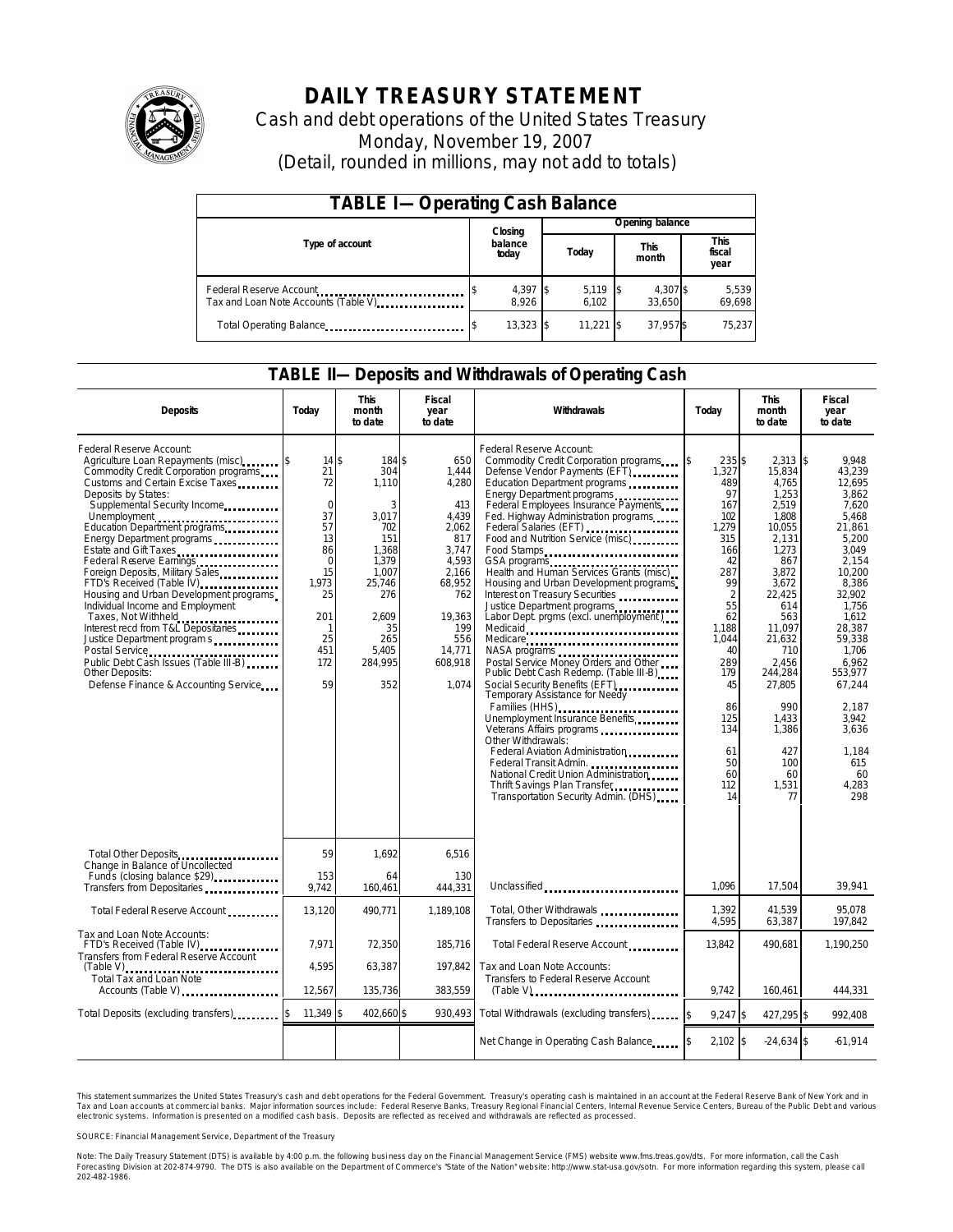

# **DAILY TREASURY STATEMENT**

Cash and debt operations of the United States Treasury Monday, November 19, 2007 (Detail, rounded in millions, may not add to totals)

| <b>TABLE I-Operating Cash Balance</b>                            |  |                     |                 |                     |                      |                    |  |                               |  |
|------------------------------------------------------------------|--|---------------------|-----------------|---------------------|----------------------|--------------------|--|-------------------------------|--|
|                                                                  |  | Closing             | Opening balance |                     |                      |                    |  |                               |  |
| Type of account                                                  |  | balance<br>today    |                 | Today               | <b>This</b><br>month |                    |  | <b>This</b><br>fiscal<br>year |  |
| Federal Reserve Account<br>Tax and Loan Note Accounts (Table V). |  | $4,397$ \$<br>8,926 |                 | $5,119$ \$<br>6.102 |                      | 4,307 \$<br>33.650 |  | 5,539<br>69,698               |  |
| Total Operating Balance                                          |  | $13,323$ \$         |                 | $11.221$ \$         |                      | 37.957\$           |  | 75.237                        |  |

### **TABLE II—Deposits and Withdrawals of Operating Cash**

| <b>Deposits</b>                                                                                                                                                                                                                                                                                                                                                                                                                                                                                                                                                                                                                                                                             | Today                                                                                                                                       | <b>This</b><br>month<br>to date                                                                                                                 | <b>Fiscal</b><br>year<br>to date                                                                                                                        | Withdrawals<br>Today                                                                                                                                                                                                                                                                                                                                                                                                                                                                                                                                                                                                                                                                                                                                                                                                                                                                                                                                                                                                                                            |                                                                                                                                                                                                                         | <b>This</b><br>month<br>to date                                                                                                                                                                                                                             | <b>Fiscal</b><br>year<br>to date                                                                                                                                                                                                                                     |
|---------------------------------------------------------------------------------------------------------------------------------------------------------------------------------------------------------------------------------------------------------------------------------------------------------------------------------------------------------------------------------------------------------------------------------------------------------------------------------------------------------------------------------------------------------------------------------------------------------------------------------------------------------------------------------------------|---------------------------------------------------------------------------------------------------------------------------------------------|-------------------------------------------------------------------------------------------------------------------------------------------------|---------------------------------------------------------------------------------------------------------------------------------------------------------|-----------------------------------------------------------------------------------------------------------------------------------------------------------------------------------------------------------------------------------------------------------------------------------------------------------------------------------------------------------------------------------------------------------------------------------------------------------------------------------------------------------------------------------------------------------------------------------------------------------------------------------------------------------------------------------------------------------------------------------------------------------------------------------------------------------------------------------------------------------------------------------------------------------------------------------------------------------------------------------------------------------------------------------------------------------------|-------------------------------------------------------------------------------------------------------------------------------------------------------------------------------------------------------------------------|-------------------------------------------------------------------------------------------------------------------------------------------------------------------------------------------------------------------------------------------------------------|----------------------------------------------------------------------------------------------------------------------------------------------------------------------------------------------------------------------------------------------------------------------|
| Federal Reserve Account:<br>Agriculture Loan Repayments (misc) [\$<br>Commodity Credit Corporation programs<br>Customs and Certain Excise Taxes<br>Deposits by States:<br>Supplemental Security Income<br>Unemployment<br>Education Department programs<br>Energy Department programs<br>Estate and Gift Taxes<br>Federal Reserve Earnings<br>Foreign Deposits, Military Sales<br>FTD's Received (Table IV)<br>Housing and Urban Development programs<br>Individual Income and Employment<br>Taxes, Not Withheld<br>Interest recd from T&L Depositaries<br>Justice Department program s<br>Public Debt Cash Issues (Table III-B)<br>Other Deposits:<br>Defense Finance & Accounting Service | 14S<br>21<br>72<br>$\mathbf 0$<br>37<br>57<br>13<br>86<br>$\mathbf 0$<br>15<br>1.973<br>25<br>201<br>$\mathbf{1}$<br>25<br>451<br>172<br>59 | 184 \$<br>304<br>1.110<br>3<br>3,017<br>702<br>151<br>1.368<br>1.379<br>1.007<br>25.746<br>276<br>2.609<br>35<br>265<br>5.405<br>284,995<br>352 | 650<br>1,444<br>4,280<br>413<br>4.439<br>2,062<br>817<br>3,747<br>4,593<br>2.166<br>68,952<br>762<br>19,363<br>199<br>556<br>14,771<br>608,918<br>1.074 | Federal Reserve Account:<br>Commodity Credit Corporation programs<br>Defense Vendor Payments (EFT)<br>Education Department programs<br>Energy Department programs<br>Federal Employees Insurance Payments<br>Fed. Highway Administration programs<br>Federal Salaries (EFT)<br>Federal Salaries (EFT)<br>Food and Nutrition Service (misc)<br>Food Stamps<br>GSA programs<br>Health and Human Services Grants (misc)<br>Housing and Urban Development programs<br>Interest on Treasury Securities<br>Justice Department programs<br>Labor Dept. prgms (excl. unemployment)<br>Medicaid<br>Medicare<br>NASA programs<br>Postal Service Money Orders and Other<br>Public Debt Cash Redemp. (Table III-B)<br>Social Security Benefits (EFT)<br>Temporary Assistance for Needy<br>Families (HHS)<br>Unemployment Insurance Benefits<br>Veterans Affairs programs<br>Other Withdrawals:<br>Federal Aviation Administration<br>Federal Transit Admin.<br>National Credit Union Administration<br>Thrift Savings Plan Transfer<br>Transportation Security Admin. (DHS) | 235 \$<br>ß.<br>1.327<br>489<br>97<br>167<br>102<br>1,279<br>315<br>166<br>42<br>287<br>99<br>$\overline{2}$<br>55<br>62<br>1.188<br>1.044<br>40<br>289<br>179<br>45<br>86<br>125<br>134<br>61<br>50<br>60<br>112<br>14 | $2.313$ \\$<br>15,834<br>4.765<br>1,253<br>2,519<br>1.808<br>10,055<br>2,131<br>1.273<br>867<br>3.872<br>3.672<br>22.425<br>614<br>563<br>11,097<br>21,632<br>710<br>2,456<br>244,284<br>27,805<br>990<br>1.433<br>1,386<br>427<br>100<br>60<br>1,531<br>77 | 9.948<br>43.239<br>12.695<br>3.862<br>7,620<br>5.468<br>21,861<br>5.200<br>3.049<br>2.154<br>10.200<br>8,386<br>32.902<br>1.756<br>1.612<br>28,387<br>59,338<br>1.706<br>6,962<br>553,977<br>67,244<br>2.187<br>3.942<br>3,636<br>1,184<br>615<br>60<br>4,283<br>298 |
| Total Other Deposits                                                                                                                                                                                                                                                                                                                                                                                                                                                                                                                                                                                                                                                                        | 59                                                                                                                                          | 1,692                                                                                                                                           | 6,516                                                                                                                                                   |                                                                                                                                                                                                                                                                                                                                                                                                                                                                                                                                                                                                                                                                                                                                                                                                                                                                                                                                                                                                                                                                 |                                                                                                                                                                                                                         |                                                                                                                                                                                                                                                             |                                                                                                                                                                                                                                                                      |
| Change in Balance of Uncollected<br>Fund's (closing balance \$29)                                                                                                                                                                                                                                                                                                                                                                                                                                                                                                                                                                                                                           | 153<br>9,742                                                                                                                                | 64<br>160,461                                                                                                                                   | 130<br>444,331                                                                                                                                          | Unclassified                                                                                                                                                                                                                                                                                                                                                                                                                                                                                                                                                                                                                                                                                                                                                                                                                                                                                                                                                                                                                                                    | 1.096                                                                                                                                                                                                                   | 17,504                                                                                                                                                                                                                                                      | 39,941                                                                                                                                                                                                                                                               |
| Total Federal Reserve Account                                                                                                                                                                                                                                                                                                                                                                                                                                                                                                                                                                                                                                                               | 13,120                                                                                                                                      | 490,771                                                                                                                                         | 1.189.108                                                                                                                                               | Total, Other Withdrawals<br>Transfers to Depositaries                                                                                                                                                                                                                                                                                                                                                                                                                                                                                                                                                                                                                                                                                                                                                                                                                                                                                                                                                                                                           | 1,392<br>4,595                                                                                                                                                                                                          | 41,539<br>63,387                                                                                                                                                                                                                                            | 95,078<br>197,842                                                                                                                                                                                                                                                    |
| Tax and Loan Note Accounts:<br>FTD's Received (Table IV)<br>Transfers from Federal Reserve Account                                                                                                                                                                                                                                                                                                                                                                                                                                                                                                                                                                                          | 7.971                                                                                                                                       | 72,350                                                                                                                                          | 185.716                                                                                                                                                 | Total Federal Reserve Account                                                                                                                                                                                                                                                                                                                                                                                                                                                                                                                                                                                                                                                                                                                                                                                                                                                                                                                                                                                                                                   | 13.842                                                                                                                                                                                                                  | 490,681                                                                                                                                                                                                                                                     | 1.190.250                                                                                                                                                                                                                                                            |
| $(Table V)$<br><br>Total Tax and Loan Note<br>Accounts (Table V)                                                                                                                                                                                                                                                                                                                                                                                                                                                                                                                                                                                                                            | 4.595<br>12,567                                                                                                                             | 63.387<br>135,736                                                                                                                               | 197.842<br>383,559                                                                                                                                      | Tax and Loan Note Accounts:<br>Transfers to Federal Reserve Account<br>$(Table V)$                                                                                                                                                                                                                                                                                                                                                                                                                                                                                                                                                                                                                                                                                                                                                                                                                                                                                                                                                                              | 9.742                                                                                                                                                                                                                   | 160.461                                                                                                                                                                                                                                                     | 444,331                                                                                                                                                                                                                                                              |
| Total Deposits (excluding transfers)                                                                                                                                                                                                                                                                                                                                                                                                                                                                                                                                                                                                                                                        | $11,349$ \$                                                                                                                                 | 402,660 \$                                                                                                                                      | 930,493                                                                                                                                                 | Total Withdrawals (excluding transfers)                                                                                                                                                                                                                                                                                                                                                                                                                                                                                                                                                                                                                                                                                                                                                                                                                                                                                                                                                                                                                         | $9,247$ \$                                                                                                                                                                                                              | 427,295 \$                                                                                                                                                                                                                                                  | 992,408                                                                                                                                                                                                                                                              |
|                                                                                                                                                                                                                                                                                                                                                                                                                                                                                                                                                                                                                                                                                             |                                                                                                                                             |                                                                                                                                                 |                                                                                                                                                         | Net Change in Operating Cash Balance                                                                                                                                                                                                                                                                                                                                                                                                                                                                                                                                                                                                                                                                                                                                                                                                                                                                                                                                                                                                                            | $2,102$ \$                                                                                                                                                                                                              | $-24,634$ \$                                                                                                                                                                                                                                                | $-61,914$                                                                                                                                                                                                                                                            |

This statement summarizes the United States Treasury's cash and debt operations for the Federal Government. Treasury's operating cash is maintained in an account at the Federal Reserve Bank of New York and in Tax and Loan accounts at commercial banks. Major information sources include: Federal Reserve Banks, Treasury Regional Financial Centers, Internal Revenue Service Centers, Bureau of the Public Debt and various<br>electronic s

SOURCE: Financial Management Service, Department of the Treasury

Note: The Daily Treasury Statement (DTS) is available by 4:00 p.m. the following business day on the Financial Management Service (FMS) website www.fms.treas.gov/dts.<br>Forecasting Division at 202-874-9790. The DTS is also a S) is available by 4:00 p.m. the following business day on the Financial Management Service (FMS) website www.fms.treas.gov/dts. For more information, call the Cash<br>The DTS is also available on the Department of Commerce's